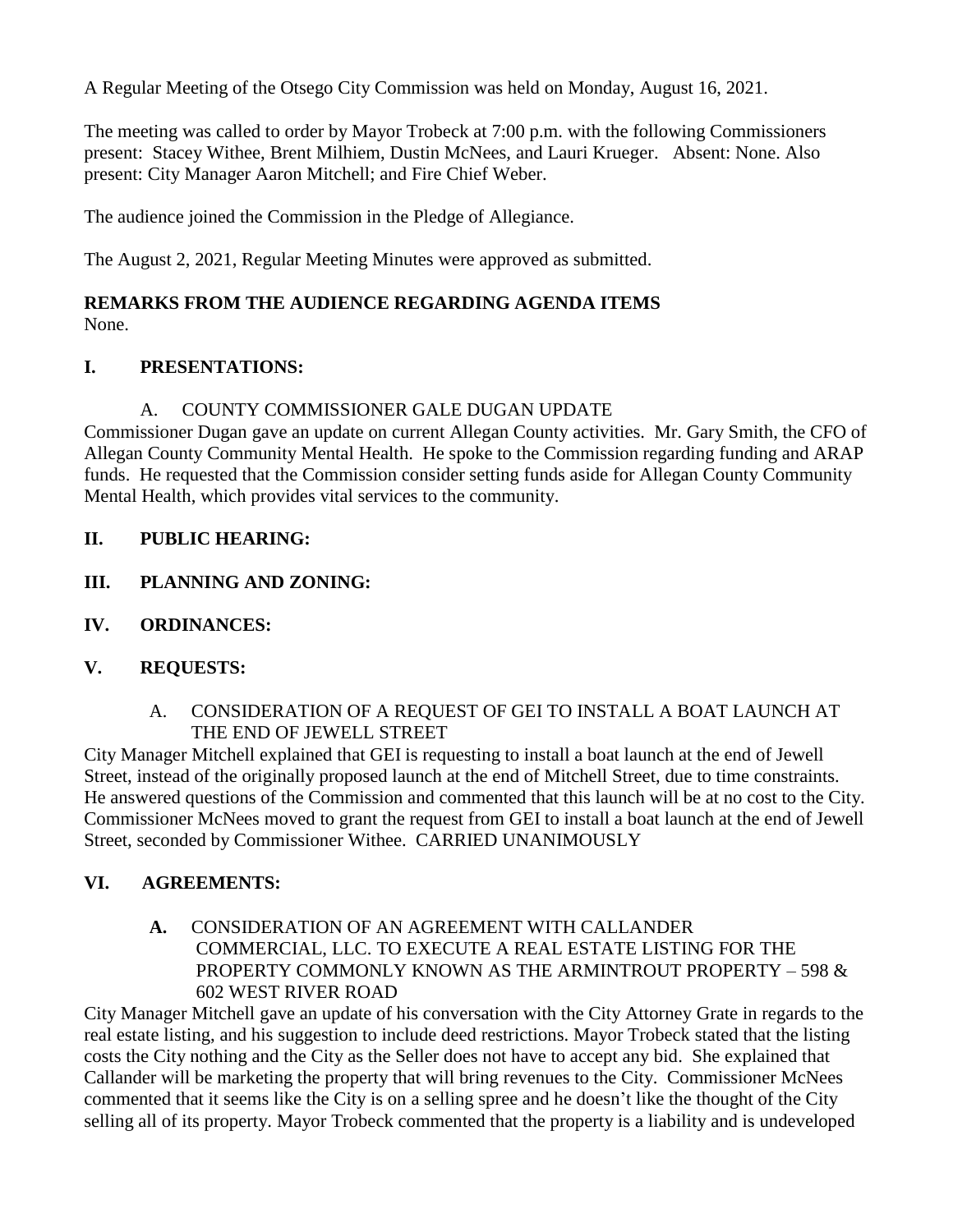A Regular Meeting of the Otsego City Commission was held on Monday, August 16, 2021.

The meeting was called to order by Mayor Trobeck at 7:00 p.m. with the following Commissioners present: Stacey Withee, Brent Milhiem, Dustin McNees, and Lauri Krueger. Absent: None. Also present: City Manager Aaron Mitchell; and Fire Chief Weber.

The audience joined the Commission in the Pledge of Allegiance.

The August 2, 2021, Regular Meeting Minutes were approved as submitted.

### **REMARKS FROM THE AUDIENCE REGARDING AGENDA ITEMS** None.

## **I. PRESENTATIONS:**

### A. COUNTY COMMISSIONER GALE DUGAN UPDATE

Commissioner Dugan gave an update on current Allegan County activities. Mr. Gary Smith, the CFO of Allegan County Community Mental Health. He spoke to the Commission regarding funding and ARAP funds. He requested that the Commission consider setting funds aside for Allegan County Community Mental Health, which provides vital services to the community.

## **II. PUBLIC HEARING:**

- **III. PLANNING AND ZONING:**
- **IV. ORDINANCES:**

## **V. REQUESTS:**

A. CONSIDERATION OF A REQUEST OF GEI TO INSTALL A BOAT LAUNCH AT THE END OF JEWELL STREET

City Manager Mitchell explained that GEI is requesting to install a boat launch at the end of Jewell Street, instead of the originally proposed launch at the end of Mitchell Street, due to time constraints. He answered questions of the Commission and commented that this launch will be at no cost to the City. Commissioner McNees moved to grant the request from GEI to install a boat launch at the end of Jewell Street, seconded by Commissioner Withee. CARRIED UNANIMOUSLY

### **VI. AGREEMENTS:**

**A.** CONSIDERATION OF AN AGREEMENT WITH CALLANDER COMMERCIAL, LLC. TO EXECUTE A REAL ESTATE LISTING FOR THE PROPERTY COMMONLY KNOWN AS THE ARMINTROUT PROPERTY – 598 & 602 WEST RIVER ROAD

City Manager Mitchell gave an update of his conversation with the City Attorney Grate in regards to the real estate listing, and his suggestion to include deed restrictions. Mayor Trobeck stated that the listing costs the City nothing and the City as the Seller does not have to accept any bid. She explained that Callander will be marketing the property that will bring revenues to the City. Commissioner McNees commented that it seems like the City is on a selling spree and he doesn't like the thought of the City selling all of its property. Mayor Trobeck commented that the property is a liability and is undeveloped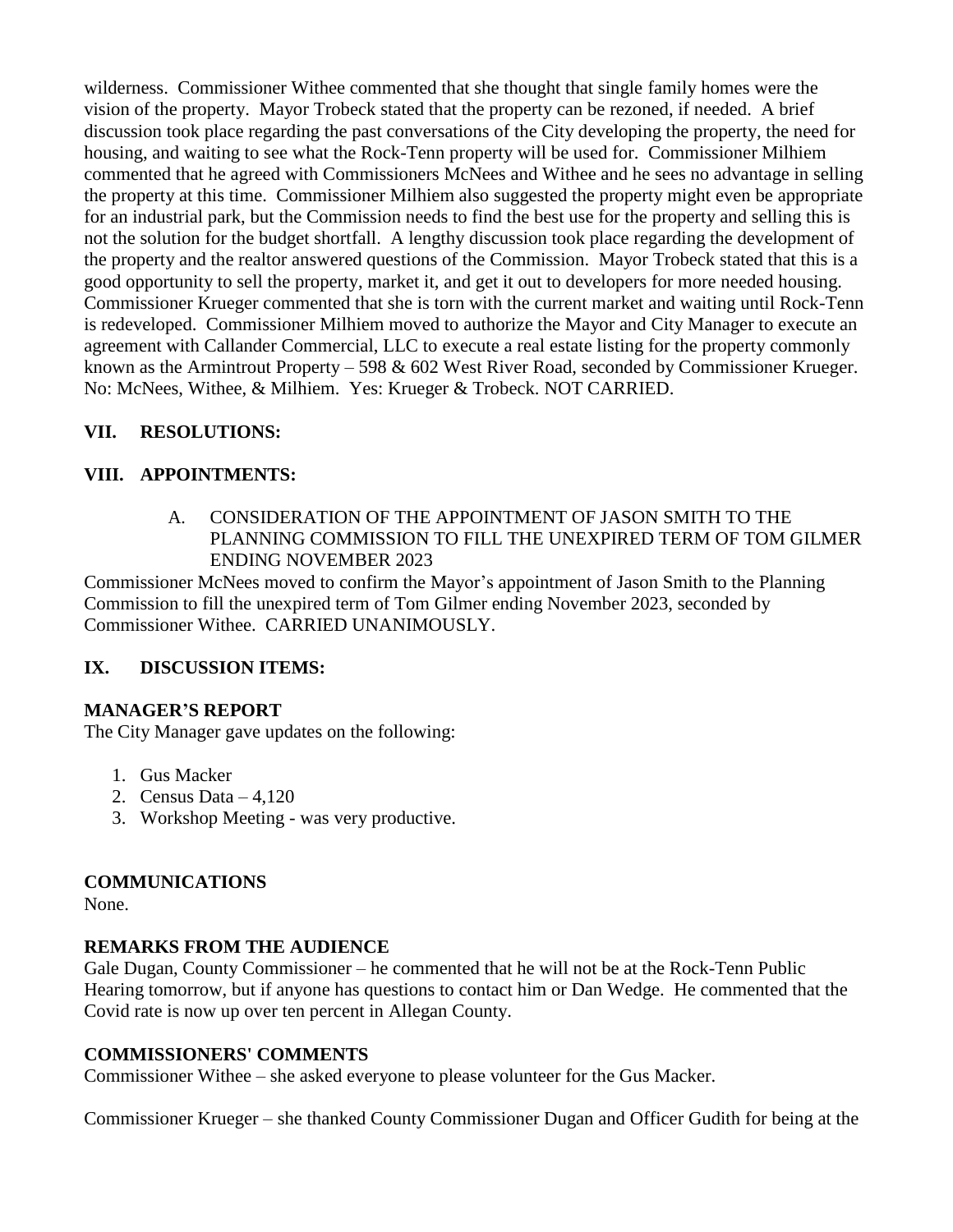wilderness. Commissioner Withee commented that she thought that single family homes were the vision of the property. Mayor Trobeck stated that the property can be rezoned, if needed. A brief discussion took place regarding the past conversations of the City developing the property, the need for housing, and waiting to see what the Rock-Tenn property will be used for. Commissioner Milhiem commented that he agreed with Commissioners McNees and Withee and he sees no advantage in selling the property at this time. Commissioner Milhiem also suggested the property might even be appropriate for an industrial park, but the Commission needs to find the best use for the property and selling this is not the solution for the budget shortfall. A lengthy discussion took place regarding the development of the property and the realtor answered questions of the Commission. Mayor Trobeck stated that this is a good opportunity to sell the property, market it, and get it out to developers for more needed housing. Commissioner Krueger commented that she is torn with the current market and waiting until Rock-Tenn is redeveloped. Commissioner Milhiem moved to authorize the Mayor and City Manager to execute an agreement with Callander Commercial, LLC to execute a real estate listing for the property commonly known as the Armintrout Property – 598 & 602 West River Road, seconded by Commissioner Krueger. No: McNees, Withee, & Milhiem. Yes: Krueger & Trobeck. NOT CARRIED.

# **VII. RESOLUTIONS:**

# **VIII. APPOINTMENTS:**

A. CONSIDERATION OF THE APPOINTMENT OF JASON SMITH TO THE PLANNING COMMISSION TO FILL THE UNEXPIRED TERM OF TOM GILMER ENDING NOVEMBER 2023

Commissioner McNees moved to confirm the Mayor's appointment of Jason Smith to the Planning Commission to fill the unexpired term of Tom Gilmer ending November 2023, seconded by Commissioner Withee. CARRIED UNANIMOUSLY.

## **IX. DISCUSSION ITEMS:**

## **MANAGER'S REPORT**

The City Manager gave updates on the following:

- 1. Gus Macker
- 2. Census Data 4,120
- 3. Workshop Meeting was very productive.

## **COMMUNICATIONS**

None.

## **REMARKS FROM THE AUDIENCE**

Gale Dugan, County Commissioner – he commented that he will not be at the Rock-Tenn Public Hearing tomorrow, but if anyone has questions to contact him or Dan Wedge. He commented that the Covid rate is now up over ten percent in Allegan County.

### **COMMISSIONERS' COMMENTS**

Commissioner Withee – she asked everyone to please volunteer for the Gus Macker.

Commissioner Krueger – she thanked County Commissioner Dugan and Officer Gudith for being at the